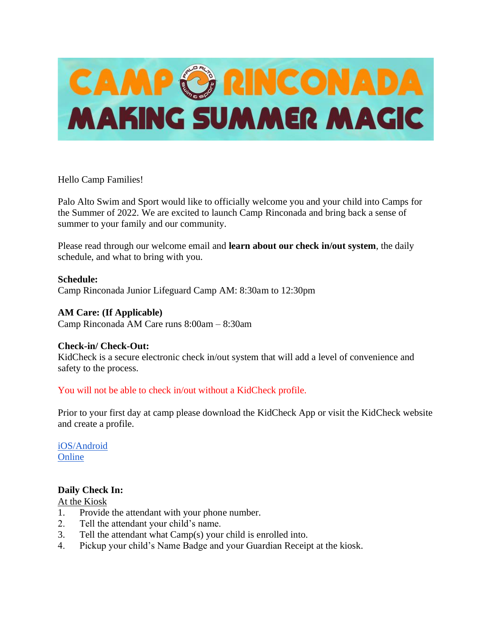

Hello Camp Families!

Palo Alto Swim and Sport would like to officially welcome you and your child into Camps for the Summer of 2022. We are excited to launch Camp Rinconada and bring back a sense of summer to your family and our community.

Please read through our welcome email and **learn about our check in/out system**, the daily schedule, and what to bring with you.

## **Schedule:**

Camp Rinconada Junior Lifeguard Camp AM: 8:30am to 12:30pm

## **AM Care: (If Applicable)**

Camp Rinconada AM Care runs 8:00am – 8:30am

#### **Check-in/ Check-Out:**

KidCheck is a secure electronic check in/out system that will add a level of convenience and safety to the process.

# You will not be able to check in/out without a KidCheck profile.

Prior to your first day at camp please download the KidCheck App or visit the KidCheck website and create a profile.

[iOS/Android](https://go.kidcheck.com/kcmobileapp.html?Name=Team%20Sheeper&ID=11193) **[Online](https://go.kidcheck.com/signin.aspx?action=register&customerid=11193&logoid=11193)** 

# **Daily Check In:**

#### At the Kiosk

- 1. Provide the attendant with your phone number.
- 2. Tell the attendant your child's name.
- 3. Tell the attendant what Camp(s) your child is enrolled into.
- 4. Pickup your child's Name Badge and your Guardian Receipt at the kiosk.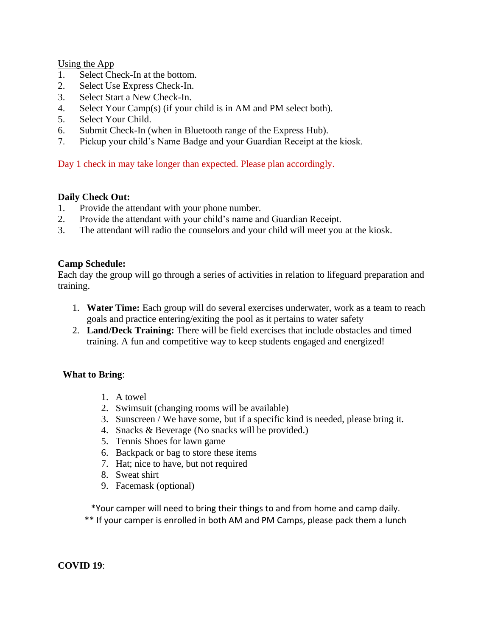Using the App

- 1. Select Check-In at the bottom.
- 2. Select Use Express Check-In.
- 3. Select Start a New Check-In.
- 4. Select Your Camp(s) (if your child is in AM and PM select both).
- 5. Select Your Child.
- 6. Submit Check-In (when in Bluetooth range of the Express Hub).
- 7. Pickup your child's Name Badge and your Guardian Receipt at the kiosk.

Day 1 check in may take longer than expected. Please plan accordingly.

# **Daily Check Out:**

- 1. Provide the attendant with your phone number.
- 2. Provide the attendant with your child's name and Guardian Receipt.
- 3. The attendant will radio the counselors and your child will meet you at the kiosk.

# **Camp Schedule:**

Each day the group will go through a series of activities in relation to lifeguard preparation and training.

- 1. **Water Time:** Each group will do several exercises underwater, work as a team to reach goals and practice entering/exiting the pool as it pertains to water safety
- 2. **Land/Deck Training:** There will be field exercises that include obstacles and timed training. A fun and competitive way to keep students engaged and energized!

# **What to Bring**:

- 1. A towel
- 2. Swimsuit (changing rooms will be available)
- 3. Sunscreen / We have some, but if a specific kind is needed, please bring it.
- 4. Snacks & Beverage (No snacks will be provided.)
- 5. Tennis Shoes for lawn game
- 6. Backpack or bag to store these items
- 7. Hat; nice to have, but not required
- 8. Sweat shirt
- 9. Facemask (optional)

\*Your camper will need to bring their things to and from home and camp daily.

\*\* If your camper is enrolled in both AM and PM Camps, please pack them a lunch

# **COVID 19**: